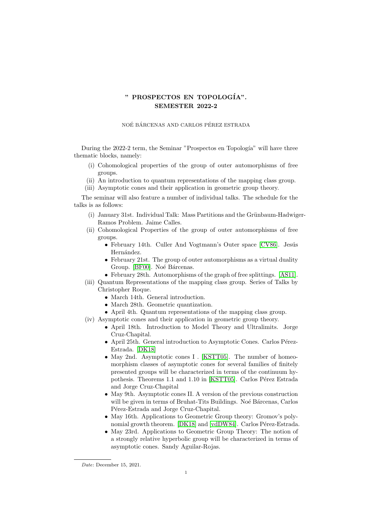## " PROSPECTOS EN TOPOLOGÍA". SEMESTER 2022-2

## NOÉ BÁRCENAS AND CARLOS PÉREZ ESTRADA

During the 2022-2 term, the Seminar "Prospectos en Topología" will have three thematic blocks, namely:

- (i) Cohomological properties of the group of outer automorphisms of free groups.
- (ii) An introduction to quantum representations of the mapping class group.
- (iii) Asymptotic cones and their application in geometric group theory.

The seminar will also feature a number of individual talks. The schedule for the talks is as follows:

- $(i)$  January 31st. Individual Talk: Mass Partitions and the Grünbaum-Hadwiger-Ramos Problem. Jaime Calles.
- (ii) Cohomological Properties of the group of outer automorphisms of free groups.
	- February 14th. Culler And Vogtmann's Outer space [\[CV86\]](#page-1-0). Jesús Hernández.
	- February 21st. The group of outer automorphisms as a virtual duality Group. [\[BF00\]](#page-1-1). Noé Bárcenas.
	- February 28th. Automorphisms of the graph of free splittings. [\[AS11\]](#page-1-2).
- (iii) Quantum Representations of the mapping class group. Series of Talks by Christopher Roque.
	- March 14th. General introduction.
	- March 28th. Geometric quantization.
	- April 4th. Quantum representations of the mapping class group.
- (iv) Asymptotic cones and their application in geometric group theory.
	- April 18th. Introduction to Model Theory and Ultralimits. Jorge Cruz-Chapital.
	- $\bullet$  April 25th. General introduction to Asymptotic Cones. Carlos Pérez-Estrada. [\[DK18\]](#page-1-3)
	- May 2nd. Asymptotic cones I . [\[KSTT05\]](#page-1-4). The number of homeomorphism classes of asymptotic cones for several families of finitely presented groups will be characterized in terms of the continuum hy-pothesis. Theorems 1.1 and 1.10 in [\[KSTT05\]](#page-1-4). Carlos Pérez Estrada and Jorge Cruz-Chapital
	- May 9th. Asymptotic cones II. A version of the previous construction will be given in terms of Bruhat-Tits Buildings. Noé Bárcenas, Carlos Pérez-Estrada and Jorge Cruz-Chapital.
	- May 16th. Applications to Geometric Group theory: Gromov's poly-nomial growth theorem. [\[DK18\]](#page-1-3) and [\[vdDW84\]](#page-1-5). Carlos Pérez-Estrada.
	- May 23rd. Applications to Geometric Group Theory: The notion of a strongly relative hyperbolic group will be characterized in terms of asymptotic cones. Sandy Aguilar-Rojas.

Date: December 15, 2021.